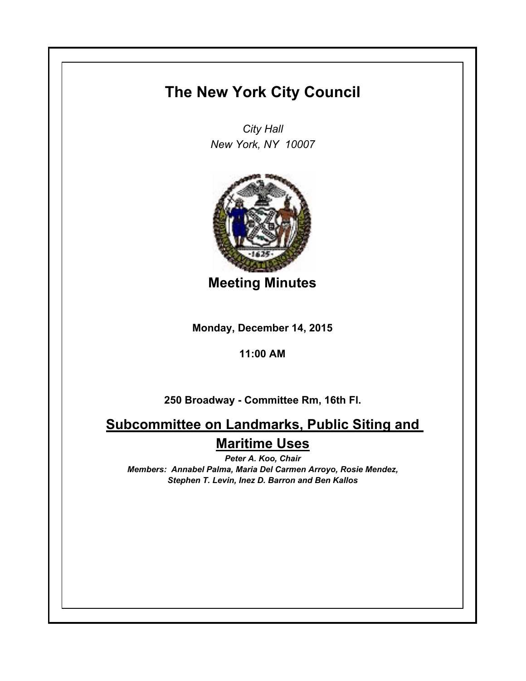## **The New York City Council**

*City Hall New York, NY 10007*



**Meeting Minutes**

**Monday, December 14, 2015**

## **11:00 AM**

## **250 Broadway - Committee Rm, 16th Fl.**

**Subcommittee on Landmarks, Public Siting and Maritime Uses**

*Peter A. Koo, Chair Members: Annabel Palma, Maria Del Carmen Arroyo, Rosie Mendez, Stephen T. Levin, Inez D. Barron and Ben Kallos*